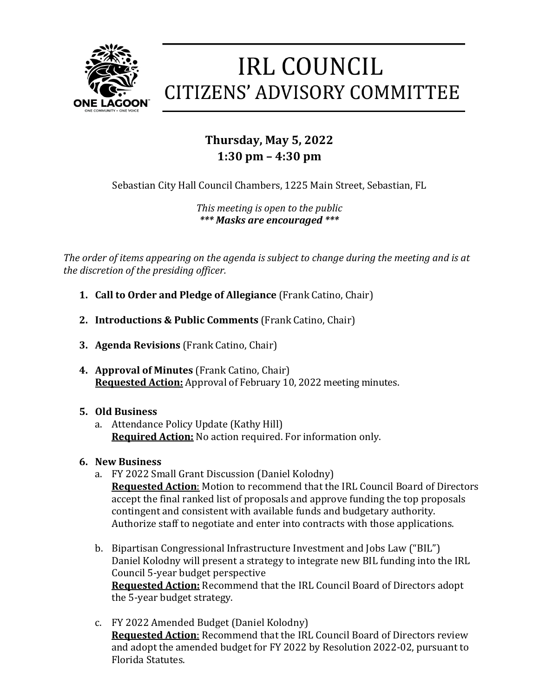

# **IRL COUNCIL CITIZENS' ADVISORY COMMITTEE**

## **Thursday, May 5, 2022 1:30 pm – 4:30 pm**

Sebastian City Hall Council Chambers, 1225 Main Street, Sebastian, FL

*This meeting is open to the public \*\*\* Masks are encouraged \*\*\**

*The order of items appearing on the agenda is subject to change during the meeting and is at the discretion of the presiding officer.*

- **1. Call to Order and Pledge of Allegiance** (Frank Catino, Chair)
- **2. Introductions & Public Comments** (Frank Catino, Chair)
- **3. Agenda Revisions** (Frank Catino, Chair)
- **4. Approval of Minutes** (Frank Catino, Chair) **Requested Action:** Approval of February 10, 2022 meeting minutes.
- **5. Old Business**
	- a. Attendance Policy Update (Kathy Hill) **Required Action:** No action required. For information only.
- **6. New Business**
	- a. FY 2022 Small Grant Discussion (Daniel Kolodny) **Requested Action**: Motion to recommend that the IRL Council Board of Directors accept the final ranked list of proposals and approve funding the top proposals contingent and consistent with available funds and budgetary authority. Authorize staff to negotiate and enter into contracts with those applications.
	- b. Bipartisan Congressional Infrastructure Investment and Jobs Law ("BIL") Daniel Kolodny will present a strategy to integrate new BIL funding into the IRL Council 5-year budget perspective **Requested Action:** Recommend that the IRL Council Board of Directors adopt the 5-year budget strategy.
	- c. FY 2022 Amended Budget (Daniel Kolodny) **Requested Action**: Recommend that the IRL Council Board of Directors review and adopt the amended budget for FY 2022 by Resolution 2022-02, pursuant to Florida Statutes.